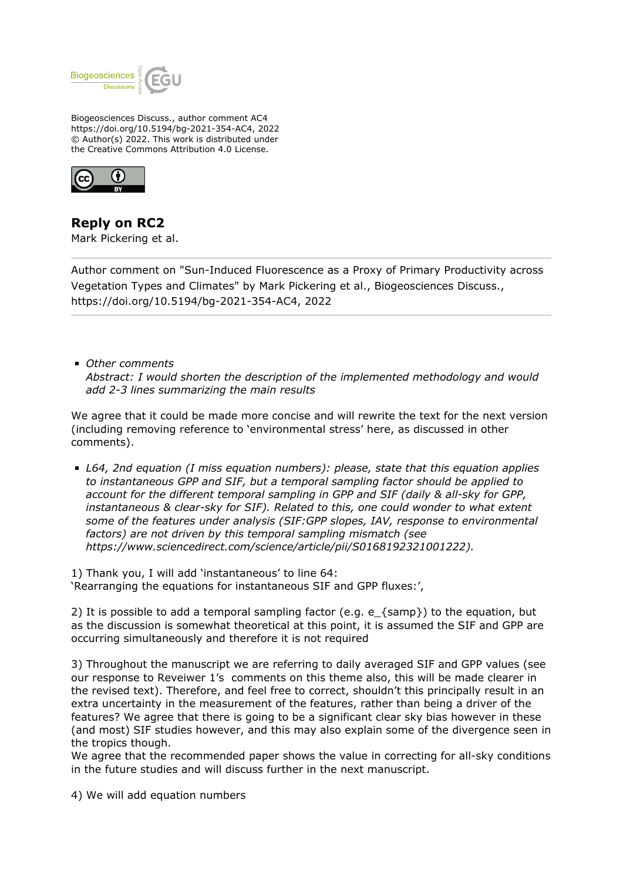

Biogeosciences Discuss., author comment AC4 https://doi.org/10.5194/bg-2021-354-AC4, 2022 © Author(s) 2022. This work is distributed under the Creative Commons Attribution 4.0 License.



**Reply on RC2** Mark Pickering et al.

Author comment on "Sun-Induced Fluorescence as a Proxy of Primary Productivity across Vegetation Types and Climates" by Mark Pickering et al., Biogeosciences Discuss., https://doi.org/10.5194/bg-2021-354-AC4, 2022

*Other comments Abstract: I would shorten the description of the implemented methodology and would add 2-3 lines summarizing the main results*

We agree that it could be made more concise and will rewrite the text for the next version (including removing reference to 'environmental stress' here, as discussed in other comments).

*L64, 2nd equation (I miss equation numbers): please, state that this equation applies to instantaneous GPP and SIF, but a temporal sampling factor should be applied to account for the different temporal sampling in GPP and SIF (daily & all-sky for GPP, instantaneous & clear-sky for SIF). Related to this, one could wonder to what extent some of the features under analysis (SIF:GPP slopes, IAV, response to environmental factors) are not driven by this temporal sampling mismatch (see https://www.sciencedirect.com/science/article/pii/S0168192321001222).*

1) Thank you, I will add 'instantaneous' to line 64: 'Rearranging the equations for instantaneous SIF and GPP fluxes:',

2) It is possible to add a temporal sampling factor (e.g. e  $\{ samp\}$ ) to the equation, but as the discussion is somewhat theoretical at this point, it is assumed the SIF and GPP are occurring simultaneously and therefore it is not required

3) Throughout the manuscript we are referring to daily averaged SIF and GPP values (see our response to Reveiwer 1's comments on this theme also, this will be made clearer in the revised text). Therefore, and feel free to correct, shouldn't this principally result in an extra uncertainty in the measurement of the features, rather than being a driver of the features? We agree that there is going to be a significant clear sky bias however in these (and most) SIF studies however, and this may also explain some of the divergence seen in the tropics though.

We agree that the recommended paper shows the value in correcting for all-sky conditions in the future studies and will discuss further in the next manuscript.

4) We will add equation numbers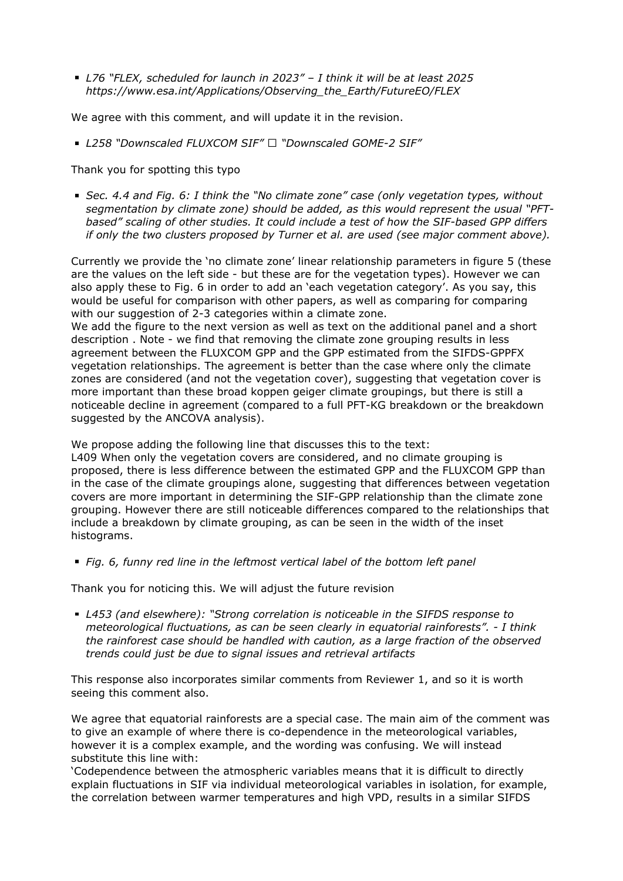*L76 "FLEX, scheduled for launch in 2023" – I think it will be at least 2025 https://www.esa.int/Applications/Observing\_the\_Earth/FutureEO/FLEX*

We agree with this comment, and will update it in the revision.

■ L258 "Downscaled FLUXCOM SIF" □ "Downscaled GOME-2 SIF"

Thank you for spotting this typo

*Sec. 4.4 and Fig. 6: I think the "No climate zone" case (only vegetation types, without segmentation by climate zone) should be added, as this would represent the usual "PFTbased" scaling of other studies. It could include a test of how the SIF-based GPP differs if only the two clusters proposed by Turner et al. are used (see major comment above).*

Currently we provide the 'no climate zone' linear relationship parameters in figure 5 (these are the values on the left side - but these are for the vegetation types). However we can also apply these to Fig. 6 in order to add an 'each vegetation category'. As you say, this would be useful for comparison with other papers, as well as comparing for comparing with our suggestion of 2-3 categories within a climate zone.

We add the figure to the next version as well as text on the additional panel and a short description . Note - we find that removing the climate zone grouping results in less agreement between the FLUXCOM GPP and the GPP estimated from the SIFDS-GPPFX vegetation relationships. The agreement is better than the case where only the climate zones are considered (and not the vegetation cover), suggesting that vegetation cover is more important than these broad koppen geiger climate groupings, but there is still a noticeable decline in agreement (compared to a full PFT-KG breakdown or the breakdown suggested by the ANCOVA analysis).

We propose adding the following line that discusses this to the text:

L409 When only the vegetation covers are considered, and no climate grouping is proposed, there is less difference between the estimated GPP and the FLUXCOM GPP than in the case of the climate groupings alone, suggesting that differences between vegetation covers are more important in determining the SIF-GPP relationship than the climate zone grouping. However there are still noticeable differences compared to the relationships that include a breakdown by climate grouping, as can be seen in the width of the inset histograms.

*Fig. 6, funny red line in the leftmost vertical label of the bottom left panel*

Thank you for noticing this. We will adjust the future revision

*L453 (and elsewhere): "Strong correlation is noticeable in the SIFDS response to meteorological fluctuations, as can be seen clearly in equatorial rainforests". - I think the rainforest case should be handled with caution, as a large fraction of the observed trends could just be due to signal issues and retrieval artifacts*

This response also incorporates similar comments from Reviewer 1, and so it is worth seeing this comment also.

We agree that equatorial rainforests are a special case. The main aim of the comment was to give an example of where there is co-dependence in the meteorological variables, however it is a complex example, and the wording was confusing. We will instead substitute this line with:

'Codependence between the atmospheric variables means that it is difficult to directly explain fluctuations in SIF via individual meteorological variables in isolation, for example, the correlation between warmer temperatures and high VPD, results in a similar SIFDS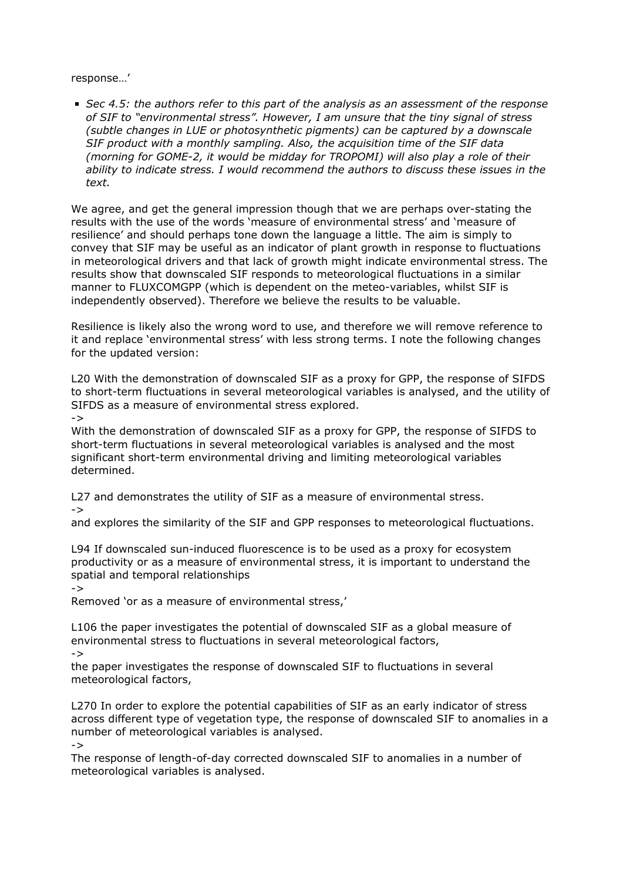response…'

*Sec 4.5: the authors refer to this part of the analysis as an assessment of the response of SIF to "environmental stress". However, I am unsure that the tiny signal of stress (subtle changes in LUE or photosynthetic pigments) can be captured by a downscale SIF product with a monthly sampling. Also, the acquisition time of the SIF data (morning for GOME-2, it would be midday for TROPOMI) will also play a role of their ability to indicate stress. I would recommend the authors to discuss these issues in the text.*

We agree, and get the general impression though that we are perhaps over-stating the results with the use of the words 'measure of environmental stress' and 'measure of resilience' and should perhaps tone down the language a little. The aim is simply to convey that SIF may be useful as an indicator of plant growth in response to fluctuations in meteorological drivers and that lack of growth might indicate environmental stress. The results show that downscaled SIF responds to meteorological fluctuations in a similar manner to FLUXCOMGPP (which is dependent on the meteo-variables, whilst SIF is independently observed). Therefore we believe the results to be valuable.

Resilience is likely also the wrong word to use, and therefore we will remove reference to it and replace 'environmental stress' with less strong terms. I note the following changes for the updated version:

L20 With the demonstration of downscaled SIF as a proxy for GPP, the response of SIFDS to short-term fluctuations in several meteorological variables is analysed, and the utility of SIFDS as a measure of environmental stress explored.

->

With the demonstration of downscaled SIF as a proxy for GPP, the response of SIFDS to short-term fluctuations in several meteorological variables is analysed and the most significant short-term environmental driving and limiting meteorological variables determined.

L27 and demonstrates the utility of SIF as a measure of environmental stress. ->

and explores the similarity of the SIF and GPP responses to meteorological fluctuations.

L94 If downscaled sun-induced fluorescence is to be used as a proxy for ecosystem productivity or as a measure of environmental stress, it is important to understand the spatial and temporal relationships

->

Removed 'or as a measure of environmental stress,'

L106 the paper investigates the potential of downscaled SIF as a global measure of environmental stress to fluctuations in several meteorological factors,

->

the paper investigates the response of downscaled SIF to fluctuations in several meteorological factors,

L270 In order to explore the potential capabilities of SIF as an early indicator of stress across different type of vegetation type, the response of downscaled SIF to anomalies in a number of meteorological variables is analysed.

->

The response of length-of-day corrected downscaled SIF to anomalies in a number of meteorological variables is analysed.